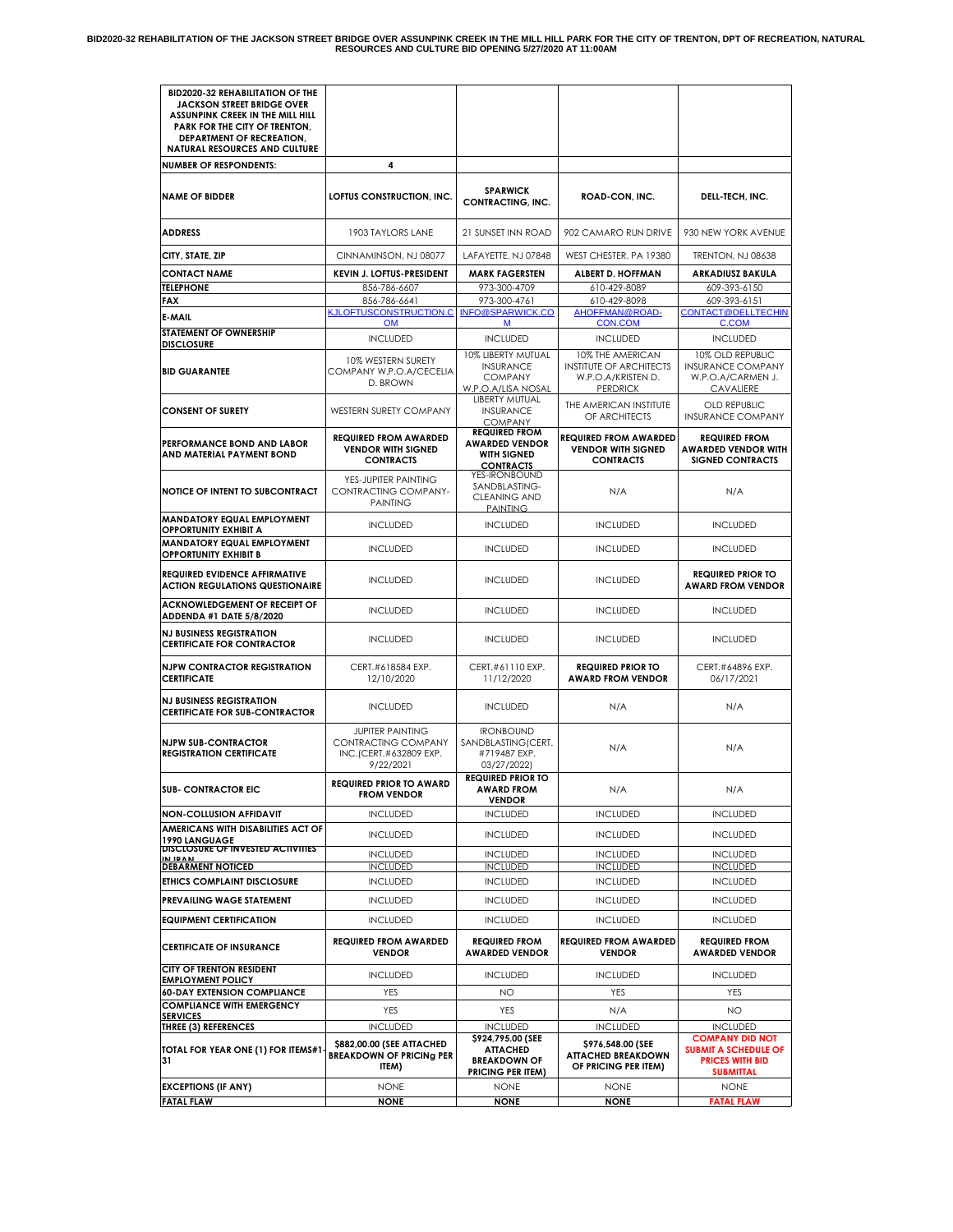| <b>BID2020-32 REHABILITATION OF THE</b><br><b>JACKSON STREET BRIDGE OVER</b><br>ASSUNPINK CREEK IN THE MILL HILL<br>PARK FOR THE CITY OF TRENTON,<br><b>DEPARTMENT OF RECREATION,</b><br><b>NATURAL RESOURCES AND CULTURE</b> |                                                                                       |                                                                                         |                                                                                             |                                                                                                     |
|-------------------------------------------------------------------------------------------------------------------------------------------------------------------------------------------------------------------------------|---------------------------------------------------------------------------------------|-----------------------------------------------------------------------------------------|---------------------------------------------------------------------------------------------|-----------------------------------------------------------------------------------------------------|
| <b>NUMBER OF RESPONDENTS:</b>                                                                                                                                                                                                 | 4                                                                                     |                                                                                         |                                                                                             |                                                                                                     |
| <b>NAME OF BIDDER</b>                                                                                                                                                                                                         | LOFTUS CONSTRUCTION, INC.                                                             | <b>SPARWICK</b><br><b>CONTRACTING, INC.</b>                                             | ROAD-CON, INC.                                                                              | DELL-TECH, INC.                                                                                     |
| <b>ADDRESS</b>                                                                                                                                                                                                                | 1903 TAYLORS LANE                                                                     | 21 SUNSET INN ROAD                                                                      | 902 CAMARO RUN DRIVE                                                                        | 930 NEW YORK AVENUE                                                                                 |
| CITY, STATE, ZIP                                                                                                                                                                                                              | CINNAMINSON, NJ 08077                                                                 | LAFAYETTE, NJ 07848                                                                     | WEST CHESTER, PA 19380                                                                      | TRENTON, NJ 08638                                                                                   |
| <b>CONTACT NAME</b>                                                                                                                                                                                                           | <b>KEVIN J. LOFTUS-PRESIDENT</b>                                                      | <b>MARK FAGERSTEN</b>                                                                   | ALBERT D. HOFFMAN                                                                           | <b>ARKADIUSZ BAKULA</b>                                                                             |
| <b>TELEPHONE</b>                                                                                                                                                                                                              | 856-786-6607                                                                          | 973-300-4709                                                                            | 610-429-8089                                                                                | 609-393-6150                                                                                        |
| FAX                                                                                                                                                                                                                           | 856-786-6641<br>KJLOFTUSCONSTRUCTION.C                                                | 973-300-4761<br><b>INFO@SPARWICK.CO</b>                                                 | 610-429-8098<br>AHOFFMAN@ROAD-                                                              | 609-393-6151<br><b>CONTACT@DELLTECHIN</b>                                                           |
| E-MAIL<br>STATEMENT OF OWNERSHIP                                                                                                                                                                                              | <b>OM</b>                                                                             | M                                                                                       | <b>CON.COM</b>                                                                              | C.COM                                                                                               |
| <b>DISCLOSURE</b>                                                                                                                                                                                                             | <b>INCLUDED</b>                                                                       | <b>INCLUDED</b>                                                                         | <b>INCLUDED</b>                                                                             | <b>INCLUDED</b>                                                                                     |
| <b>BID GUARANTEE</b>                                                                                                                                                                                                          | 10% WESTERN SURETY<br>COMPANY W.P.O.A/CECELIA<br>D. BROWN                             | 10% LIBERTY MUTUAL<br><b>INSURANCE</b><br><b>COMPANY</b><br>W.P.O.A/LISA NOSAL          | 10% THE AMERICAN<br><b>INSTITUTE OF ARCHITECTS</b><br>W.P.O.A/KRISTEN D.<br><b>PERDRICK</b> | 10% OLD REPUBLIC<br><b>INSURANCE COMPANY</b><br>W.P.O.A/CARMEN J.<br>CAVALIERE                      |
| <b>CONSENT OF SURETY</b>                                                                                                                                                                                                      | WESTERN SURETY COMPANY                                                                | <b>LIBERTY MUTUAL</b><br><b>INSURANCE</b><br><b>COMPANY</b>                             | THE AMERICAN INSTITUTE<br>OF ARCHITECTS                                                     | OLD REPUBLIC<br><b>INSURANCE COMPANY</b>                                                            |
| PERFORMANCE BOND AND LABOR<br>AND MATERIAL PAYMENT BOND                                                                                                                                                                       | <b>REQUIRED FROM AWARDED</b><br><b>VENDOR WITH SIGNED</b><br><b>CONTRACTS</b>         | <b>REQUIRED FROM</b><br><b>AWARDED VENDOR</b><br><b>WITH SIGNED</b><br><b>CONTRACTS</b> | <b>REQUIRED FROM AWARDED</b><br><b>VENDOR WITH SIGNED</b><br><b>CONTRACTS</b>               | <b>REQUIRED FROM</b><br>AWARDED VENDOR WITH<br><b>SIGNED CONTRACTS</b>                              |
| <b>NOTICE OF INTENT TO SUBCONTRACT</b>                                                                                                                                                                                        | YES-JUPITER PAINTING<br>CONTRACTING COMPANY-<br><b>PAINTING</b>                       | YES-IRONBOUND<br>SANDBLASTING-<br><b>CLEANING AND</b><br><b>PAINTING</b>                | N/A                                                                                         | N/A                                                                                                 |
| MANDATORY EQUAL EMPLOYMENT<br><b>OPPORTUNITY EXHIBIT A</b>                                                                                                                                                                    | <b>INCLUDED</b>                                                                       | <b>INCLUDED</b>                                                                         | <b>INCLUDED</b>                                                                             | <b>INCLUDED</b>                                                                                     |
| MANDATORY EQUAL EMPLOYMENT<br><b>OPPORTUNITY EXHIBIT B</b>                                                                                                                                                                    | <b>INCLUDED</b>                                                                       | <b>INCLUDED</b>                                                                         | <b>INCLUDED</b>                                                                             | <b>INCLUDED</b>                                                                                     |
| <b>REQUIRED EVIDENCE AFFIRMATIVE</b><br><b>ACTION REGULATIONS QUESTIONAIRE</b>                                                                                                                                                | <b>INCLUDED</b>                                                                       | <b>INCLUDED</b>                                                                         | <b>INCLUDED</b>                                                                             | <b>REQUIRED PRIOR TO</b><br><b>AWARD FROM VENDOR</b>                                                |
| <b>ACKNOWLEDGEMENT OF RECEIPT OF</b><br>ADDENDA #1 DATE 5/8/2020                                                                                                                                                              | <b>INCLUDED</b>                                                                       | <b>INCLUDED</b>                                                                         | <b>INCLUDED</b>                                                                             | <b>INCLUDED</b>                                                                                     |
| <b>NJ BUSINESS REGISTRATION</b><br><b>CERTIFICATE FOR CONTRACTOR</b>                                                                                                                                                          | <b>INCLUDED</b>                                                                       | <b>INCLUDED</b>                                                                         | <b>INCLUDED</b>                                                                             | <b>INCLUDED</b>                                                                                     |
| <b>NJPW CONTRACTOR REGISTRATION</b><br><b>CERTIFICATE</b>                                                                                                                                                                     | CERT.#618584 EXP.<br>12/10/2020                                                       | CERT.#61110 EXP.<br>11/12/2020                                                          | <b>REQUIRED PRIOR TO</b><br><b>AWARD FROM VENDOR</b>                                        | CERT.#64896 EXP.<br>06/17/2021                                                                      |
| <b>NJ BUSINESS REGISTRATION</b><br><b>CERTIFICATE FOR SUB-CONTRACTOR</b>                                                                                                                                                      | <b>INCLUDED</b>                                                                       | <b>INCLUDED</b>                                                                         | N/A                                                                                         | N/A                                                                                                 |
| <b>NJPW SUB-CONTRACTOR</b><br><b>REGISTRATION CERTIFICATE</b>                                                                                                                                                                 | <b>JUPITER PAINTING</b><br>CONTRACTING COMPANY<br>INC.(CERT.#632809 EXP.<br>9/22/2021 | <b>IRONBOUND</b><br>SANDBLASTING(CERT.<br>#719487 EXP.<br>03/27/2022)                   | N/A                                                                                         | N/A                                                                                                 |
| <b>SUB- CONTRACTOR EIC</b>                                                                                                                                                                                                    | <b>REQUIRED PRIOR TO AWARD</b><br><b>FROM VENDOR</b>                                  | <b>REQUIRED PRIOR TO</b><br><b>AWARD FROM</b><br><b>VENDOR</b>                          | N/A                                                                                         | N/A                                                                                                 |
| <b>NON-COLLUSION AFFIDAVIT</b>                                                                                                                                                                                                | <b>INCLUDED</b>                                                                       | <b>INCLUDED</b>                                                                         | <b>INCLUDED</b>                                                                             | <b>INCLUDED</b>                                                                                     |
| AMERICANS WITH DISABILITIES ACT OF<br>1990 LANGUAGE                                                                                                                                                                           | <b>INCLUDED</b>                                                                       | <b>INCLUDED</b>                                                                         | <b>INCLUDED</b>                                                                             | <b>INCLUDED</b>                                                                                     |
| DISCLOSURE OF INVESTED ACTIVITIES<br>IN IDAN                                                                                                                                                                                  | <b>INCLUDED</b>                                                                       | <b>INCLUDED</b>                                                                         | <b>INCLUDED</b>                                                                             | <b>INCLUDED</b>                                                                                     |
| <b>DEBARMENT NOTICED</b>                                                                                                                                                                                                      | <b>INCLUDED</b>                                                                       | <b>INCLUDED</b>                                                                         | <b>INCLUDED</b>                                                                             | <b>INCLUDED</b>                                                                                     |
| ETHICS COMPLAINT DISCLOSURE                                                                                                                                                                                                   | <b>INCLUDED</b>                                                                       | <b>INCLUDED</b>                                                                         | <b>INCLUDED</b>                                                                             | <b>INCLUDED</b>                                                                                     |
| <b>PREVAILING WAGE STATEMENT</b>                                                                                                                                                                                              | <b>INCLUDED</b>                                                                       | <b>INCLUDED</b>                                                                         | <b>INCLUDED</b>                                                                             | <b>INCLUDED</b>                                                                                     |
| <b>EQUIPMENT CERTIFICATION</b>                                                                                                                                                                                                | <b>INCLUDED</b>                                                                       | <b>INCLUDED</b>                                                                         | <b>INCLUDED</b>                                                                             | <b>INCLUDED</b>                                                                                     |
| <b>CERTIFICATE OF INSURANCE</b>                                                                                                                                                                                               | <b>REQUIRED FROM AWARDED</b><br><b>VENDOR</b>                                         | <b>REQUIRED FROM</b><br><b>AWARDED VENDOR</b>                                           | <b>REQUIRED FROM AWARDED</b><br><b>VENDOR</b>                                               | <b>REQUIRED FROM</b><br><b>AWARDED VENDOR</b>                                                       |
| <b>CITY OF TRENTON RESIDENT</b><br><b>EMPLOYMENT POLICY</b>                                                                                                                                                                   | <b>INCLUDED</b>                                                                       | <b>INCLUDED</b>                                                                         | <b>INCLUDED</b>                                                                             | <b>INCLUDED</b>                                                                                     |
| <b>60-DAY EXTENSION COMPLIANCE</b>                                                                                                                                                                                            | YES                                                                                   | NO                                                                                      | YES                                                                                         | YES                                                                                                 |
| <b>COMPLIANCE WITH EMERGENCY</b><br><b>SERVICES</b>                                                                                                                                                                           | YES                                                                                   | YES                                                                                     | N/A                                                                                         | NO                                                                                                  |
| THREE (3) REFERENCES                                                                                                                                                                                                          | <b>INCLUDED</b>                                                                       | <b>INCLUDED</b>                                                                         | <b>INCLUDED</b>                                                                             | <b>INCLUDED</b>                                                                                     |
| TOTAL FOR YEAR ONE (1) FOR ITEMS#1<br>31                                                                                                                                                                                      | \$882,00.00 (SEE ATTACHED<br><b>BREAKDOWN OF PRICING PER</b><br>ITEM)                 | \$924,795.00 (SEE<br><b>ATTACHED</b><br><b>BREAKDOWN OF</b><br><b>PRICING PER ITEM)</b> | \$976,548.00 (SEE<br><b>ATTACHED BREAKDOWN</b><br>OF PRICING PER ITEM)                      | <b>COMPANY DID NOT</b><br><b>SUBMIT A SCHEDULE OF</b><br><b>PRICES WITH BID</b><br><b>SUBMITTAL</b> |
| <b>EXCEPTIONS (IF ANY)</b>                                                                                                                                                                                                    | <b>NONE</b>                                                                           | <b>NONE</b>                                                                             | <b>NONE</b>                                                                                 | <b>NONE</b>                                                                                         |
| <b>FATAL FLAW</b>                                                                                                                                                                                                             | <b>NONE</b>                                                                           | <b>NONE</b>                                                                             | <b>NONE</b>                                                                                 | <b>FATAL FLAW</b>                                                                                   |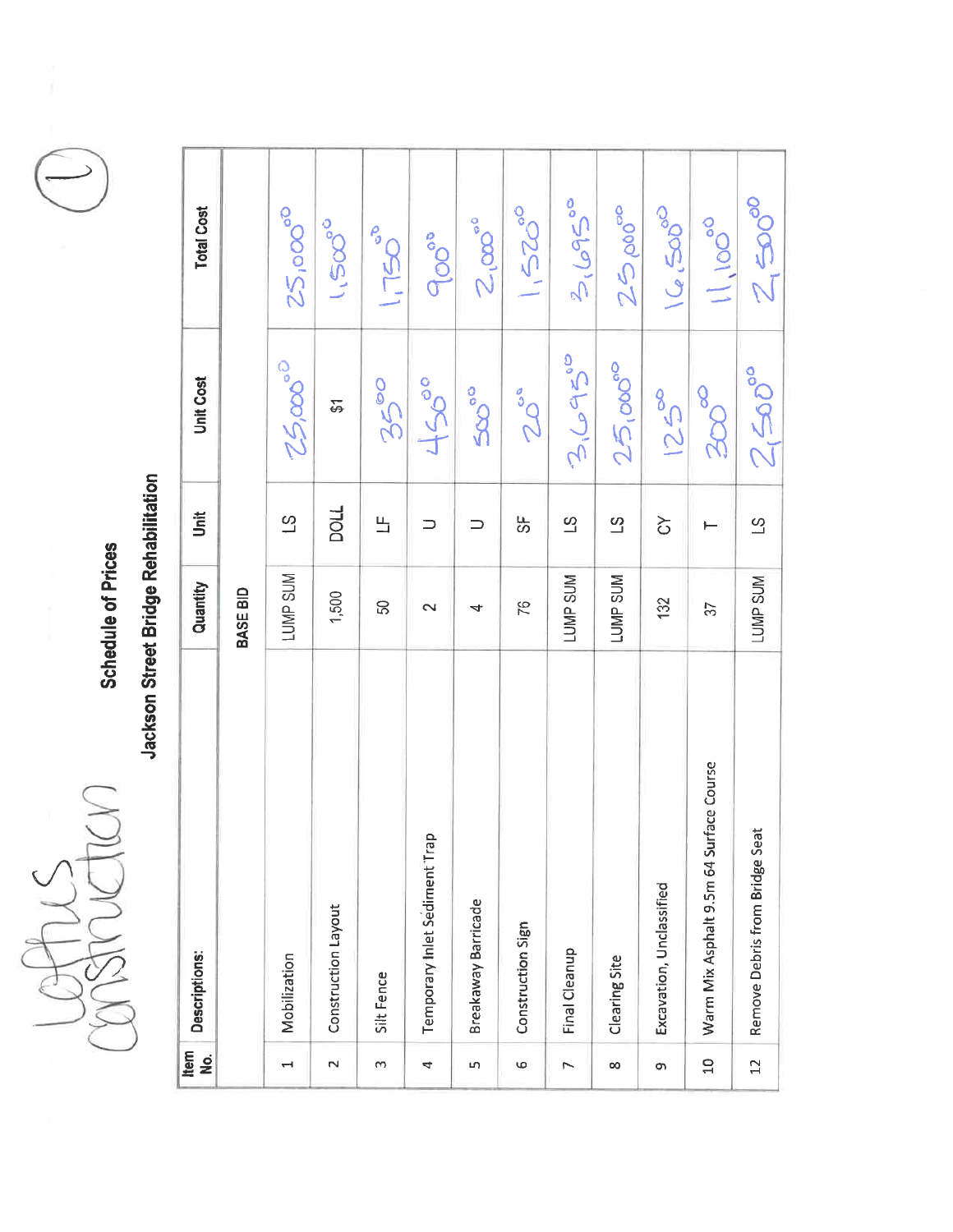$\bigcap$ 

**Schedule of Prices** 

| Item<br>$\frac{1}{2}$ | Descriptions:                             | Quantity        | <b>Unit</b>              | <b>Unit Cost</b> | <b>Total Cost</b>                    |
|-----------------------|-------------------------------------------|-----------------|--------------------------|------------------|--------------------------------------|
|                       |                                           | <b>BASE BID</b> |                          |                  |                                      |
| ⊣                     | Mobilization                              | <b>TUMP SUM</b> | $\overline{c}$           | $25,00$ °        | $25,000^\circ$                       |
| $\mathbf{\tilde{c}}$  | Construction Layout                       | 1,500           | <b>LIOCI</b>             | 5                | $1.500^{\circ}$                      |
| S                     | Silt Fence                                | SQ              | 느                        | 3500             | $rac{6}{11}$                         |
| 4                     | Temporary Inlet Sediment <sup>-Trap</sup> | $\mathbf{\sim}$ | $\supset$                | 455°             | Poo                                  |
| LŊ,                   | <b>Breakaway Barricade</b>                | 4               | ⊃                        | $50^{\circ}$     | $2.\infty$ °°                        |
| $\circ$               | Construction Sign                         | 87              | ပ္ပံ                     | 20°              | $1520^{00}$                          |
| 7                     | Final Cleanup                             | <b>LUMP SUM</b> | $\overline{c}$           | 2(6950           | $\frac{2}{2}$ ( $\circ$ 95°          |
| $\infty$              | Clearing Site                             | <b>LUMP SUM</b> | $\overline{c}$           | $25,000^\circ$   | $2500^{\circ}$                       |
| Ò                     | Excavation, Unclassified                  | 132             | $\overline{c}$           | $125^{\circ}$    | $\underline{\text{Sob}}^{\text{op}}$ |
| $\overline{10}$       | Warm Mix Asphalt 9.5m 64 Surface Course   | 37              |                          | 200 <sup>o</sup> | $\frac{1}{2}$                        |
| $\overline{C}$        | Remove Debris from Bridge Seat            | LUMP SUM        | $\overline{\mathcal{C}}$ | $Z$ (500°        | $Z \approx 000$                      |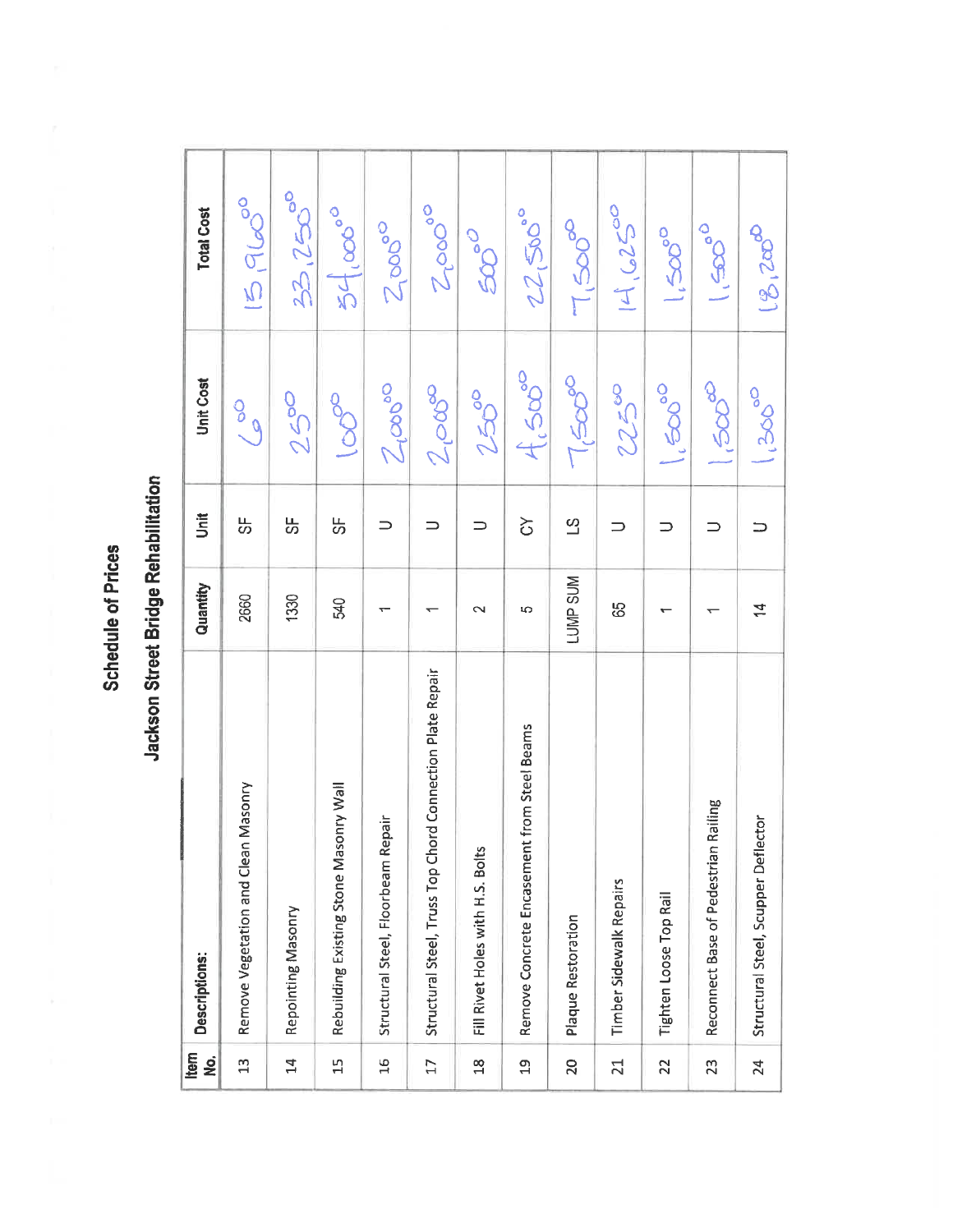| Item<br><u>g</u>        | Descriptions:                                             | Quantity  | İ              | <b>Unit Cost</b>     | <b>Total Cost</b>                  |
|-------------------------|-----------------------------------------------------------|-----------|----------------|----------------------|------------------------------------|
| $\mathfrak{L}$          | Masonry<br>Remove Vegetation and Clean                    | 2660      | LL<br>CO       | 60/9                 | 59000                              |
| $\overline{1}$          | Repointing Masonry                                        | 1330      | 5              | 250                  | 33.2500                            |
| $\frac{1}{11}$          | Rebuilding Existing Stone Masonry Wall                    | 540       | ₩              | 0000                 | $54.000^{00}$                      |
| 16                      | Structural Steel, Floorbeam Repair                        |           | $\Rightarrow$  | $\frac{2}{\sqrt{2}}$ | $Z_{\text{p}}^{\text{p}}$          |
| $\Box$                  | Structural Steel, Truss Top Chord Connection Plate Repair |           | $\Rightarrow$  | 2009                 | $Z_{\text{p}}$                     |
| $\frac{\infty}{\infty}$ | Fill Rivet Holes with H.S. Bolts                          | $\sim$    | $\Rightarrow$  | $250^{\circ}$        | $50^{\circ}$                       |
| ቧິ                      | Remove Concrete Encasement from Steel Beams               | မာ        | $\infty$       | $\frac{1}{2}$        | $22,50$ °                          |
| 20                      | Plaque Restoration                                        | LUMP SUM  | $\overline{5}$ | $\int_{C} 50$        | $\frac{1}{2}50^\circ$              |
| $\overline{21}$         | Timber Sidewalk Repairs                                   | မ္မ       |                | 22500                | 14.6250                            |
| 22                      | Tighten Loose Top Rail                                    |           |                | <b>6000-11</b>       | $\int_{0}^{1}$                     |
| 23                      | Railing<br>Reconnect Base of Pedestrian                   |           |                | <b>ado</b>           | $\sigma^{\text{opt}}$              |
| 24                      | Structural Steel, Scupper Deflector                       | $\dot{z}$ |                | <b>OOSCI</b>         | $\mathcal{L}(\mathcal{B},2\infty)$ |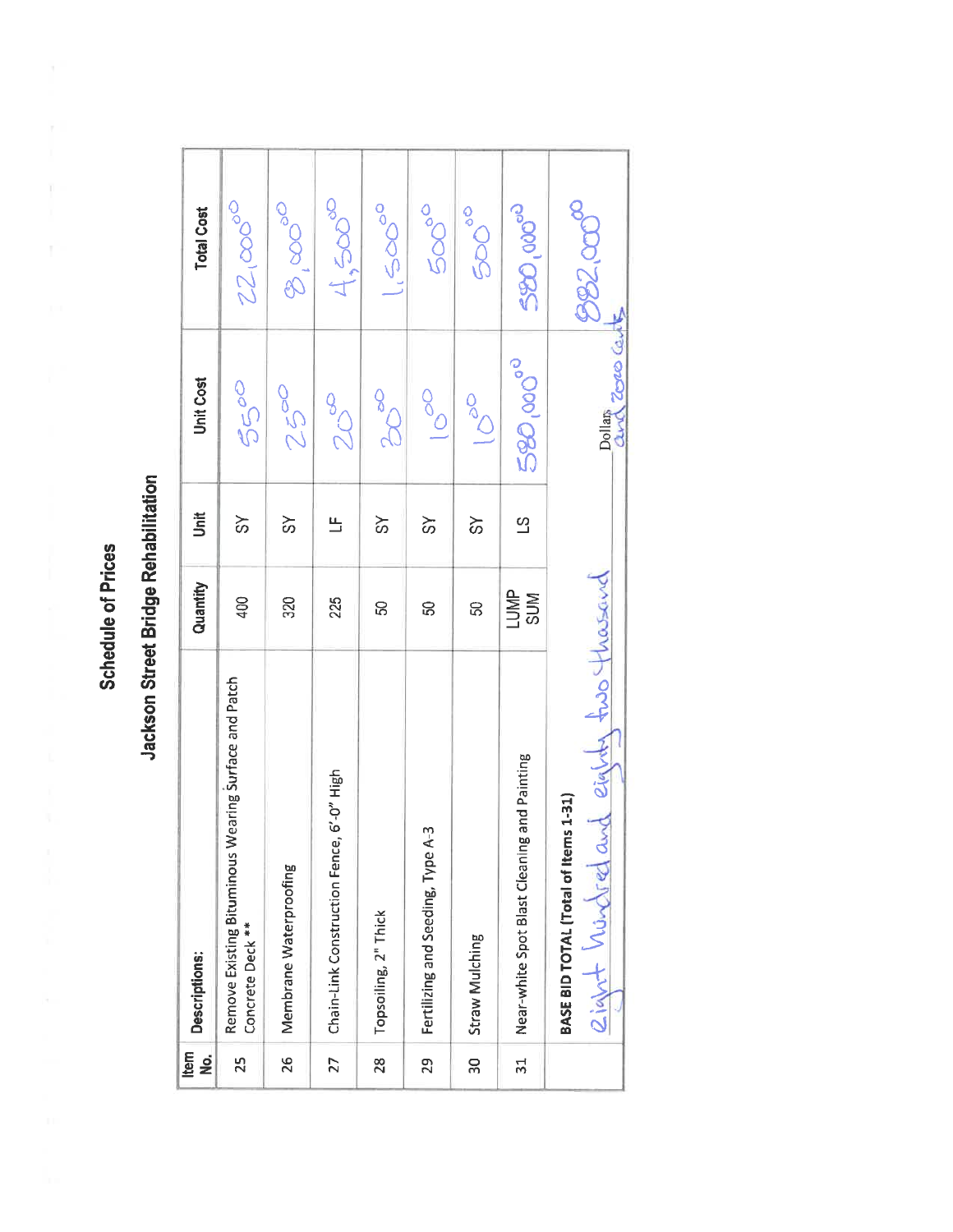| $\mathbf{f}$<br>ş | Descriptions:                                                                   | Quantity   | Unit           | <b>Unit Cost</b>         | <b>Total Cost</b>                                |
|-------------------|---------------------------------------------------------------------------------|------------|----------------|--------------------------|--------------------------------------------------|
| 25                | Remove Existing Bituminous Wearing Surface and Patch<br>Concrete Deck **        | 400        | $\approx$      | 5500                     | 22,00000                                         |
| 26                | Membrane Waterproofing                                                          | 320        | $\approx$      | 2500                     | $\mathscr{E}^{\infty}$                           |
| 27                | 6'-0" High<br>Chain-Link Construction Fence,                                    | 225        | 凸              | 800                      | $t,500^\infty$                                   |
| 28                | Topsoiling, 2" Thick                                                            | င္တ        | $\aleph$       | ooch                     | $\int_{0}^{1} 2\sigma \sigma \sigma \frac{1}{2}$ |
| 29                | Fertilizing and Seeding, Type A-3                                               | S          | $\frac{1}{3}$  | $\frac{1}{2}$            | 50000                                            |
| $\overline{5}$    | Straw Mulching                                                                  | 50         | $\frac{8}{3}$  | <b>OCO</b>               | <b>9909</b>                                      |
| $\frac{1}{2}$     | and Painting<br>Near-white Spot Blast Cleaning                                  | <b>MPS</b> | $\overline{c}$ | 580,000°                 | 580,00000                                        |
|                   | fuso thousand<br>eight hundred and eigh<br>BASE BID TOTAL (Total of Items 1-31) |            |                | Zoro les<br>Dollar<br>am | <b>982.000°</b>                                  |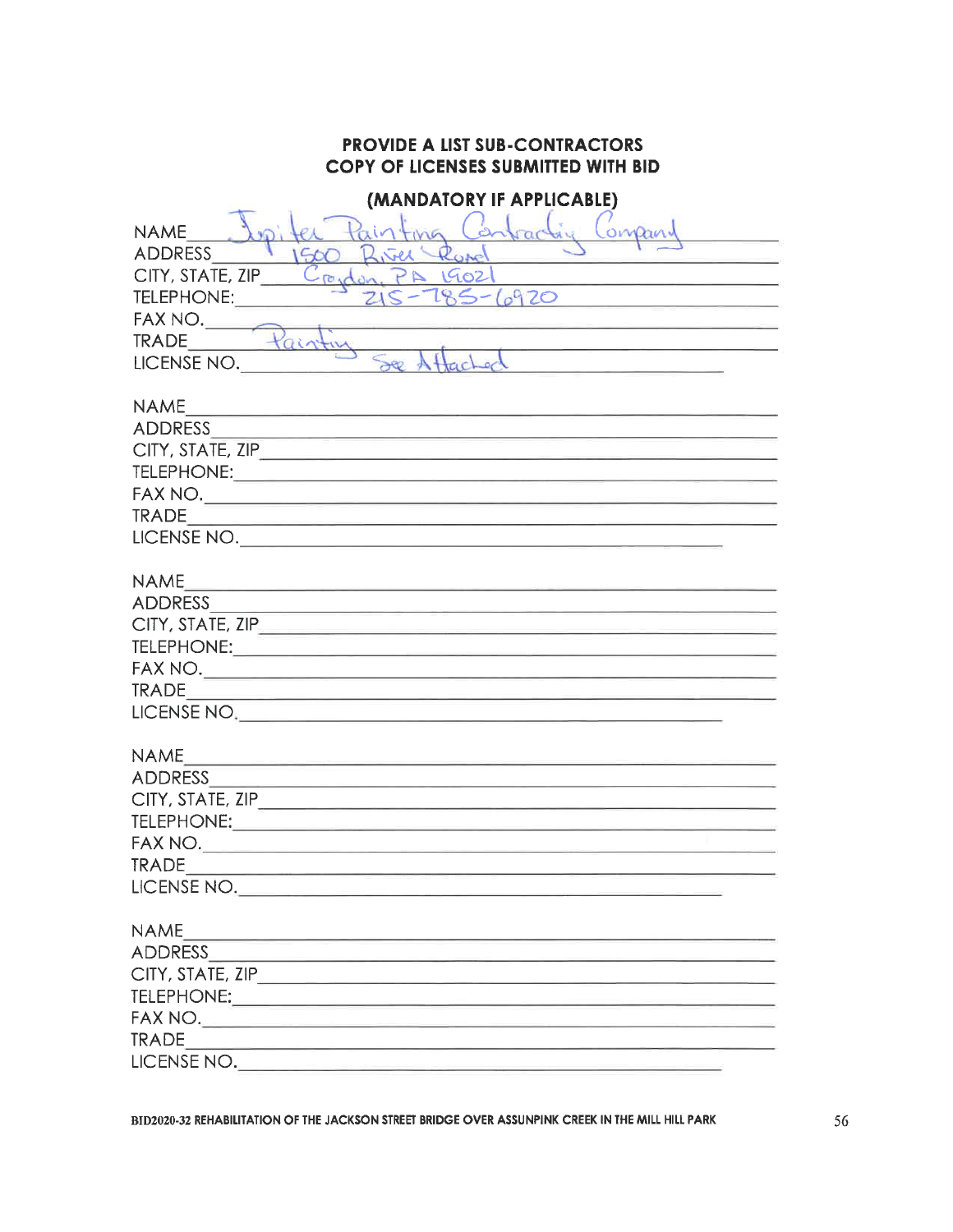| <b>PROVIDE A LIST SUB-CONTRACTORS</b><br><b>COPY OF LICENSES SUBMITTED WITH BID</b>                                                                                                                                                                                                                                                                                |
|--------------------------------------------------------------------------------------------------------------------------------------------------------------------------------------------------------------------------------------------------------------------------------------------------------------------------------------------------------------------|
| (MANDATORY IF APPLICABLE)<br>$\mathcal{L}$<br>ompai<br><b>NAME</b><br>Rose<br>ADDRESS                                                                                                                                                                                                                                                                              |
| Creadon, PA 1902<br>CITY, STATE, ZIP                                                                                                                                                                                                                                                                                                                               |
| <u> 1989 - Johann John Harry Harry Harry Harry Harry Harry Harry Harry Harry Harry Harry Harry Harry Harry Harry Harry Harry Harry Harry Harry Harry Harry Harry Harry Harry Harry Harry Harry Harry Harry Harry Harry Harry Har</u><br>285-6920<br>TELEPHONE:                                                                                                     |
|                                                                                                                                                                                                                                                                                                                                                                    |
| FAX NO. Painting                                                                                                                                                                                                                                                                                                                                                   |
| <u> La componenta de la componenta de la co</u><br>LICENSE NO.<br><u> 1980 - Jan Stein Stein Stein Stein Stein Stein Stein Stein Stein Stein Stein Stein Stein Stein Stein Stein Stein Stein Stein Stein Stein Stein Stein Stein Stein Stein Stein Stein Stein Stein Stein Stein Stein Stein Stein</u>                                                             |
|                                                                                                                                                                                                                                                                                                                                                                    |
| <b>NAME</b><br><u> 1989 - Amerikaan Staatsmann van die Staatsmann van die Staatsmann van die Staatsmann van die Staatsmann van die Staatsmann van die Staatsmann van die Staatsmann van die Staatsmann van die Staatsmann van die Staatsmann va</u>                                                                                                                |
|                                                                                                                                                                                                                                                                                                                                                                    |
| CITY, STATE, ZIP                                                                                                                                                                                                                                                                                                                                                   |
|                                                                                                                                                                                                                                                                                                                                                                    |
|                                                                                                                                                                                                                                                                                                                                                                    |
| $\begin{picture}(180,10) \put(0,0){\vector(1,0){100}} \put(15,0){\vector(1,0){100}} \put(15,0){\vector(1,0){100}} \put(15,0){\vector(1,0){100}} \put(15,0){\vector(1,0){100}} \put(15,0){\vector(1,0){100}} \put(15,0){\vector(1,0){100}} \put(15,0){\vector(1,0){100}} \put(15,0){\vector(1,0){100}} \put(15,0){\vector(1,0){100}} \put(15,0){\vector(1,0){100}}$ |
| LICENSE NO.                                                                                                                                                                                                                                                                                                                                                        |
|                                                                                                                                                                                                                                                                                                                                                                    |
| <b>NAME</b><br><u> Anglick (* 1952)</u>                                                                                                                                                                                                                                                                                                                            |
|                                                                                                                                                                                                                                                                                                                                                                    |
| $CITY$ , STATE, ZIP $\overline{\phantom{a}}$                                                                                                                                                                                                                                                                                                                       |
|                                                                                                                                                                                                                                                                                                                                                                    |
|                                                                                                                                                                                                                                                                                                                                                                    |
|                                                                                                                                                                                                                                                                                                                                                                    |
| LICENSE NO.                                                                                                                                                                                                                                                                                                                                                        |
|                                                                                                                                                                                                                                                                                                                                                                    |
| <b>NAME</b><br><u> 1989 - Antonio Statistiko eta martxaren erromako erregea (h. 1988).</u>                                                                                                                                                                                                                                                                         |
|                                                                                                                                                                                                                                                                                                                                                                    |
|                                                                                                                                                                                                                                                                                                                                                                    |
| <b>TELEPHONE:</b>                                                                                                                                                                                                                                                                                                                                                  |
|                                                                                                                                                                                                                                                                                                                                                                    |
|                                                                                                                                                                                                                                                                                                                                                                    |
| LICENSE NO.                                                                                                                                                                                                                                                                                                                                                        |
| <b>NAME</b>                                                                                                                                                                                                                                                                                                                                                        |
| ADDRESS AND RESERVE AND A RESIDENCE AND A RESERVE AND A RESIDENCE AND A RESERVE AND A RESIDENCE AND A RESIDENCE OF A RESIDENCE OF A RESIDENCE OF A RESIDENCE OF A RESIDENCE OF A RESIDENCE OF A RESIDENCE OF A RESIDENCE OF A                                                                                                                                      |
|                                                                                                                                                                                                                                                                                                                                                                    |
|                                                                                                                                                                                                                                                                                                                                                                    |
| FAX NO.                                                                                                                                                                                                                                                                                                                                                            |
|                                                                                                                                                                                                                                                                                                                                                                    |
|                                                                                                                                                                                                                                                                                                                                                                    |
|                                                                                                                                                                                                                                                                                                                                                                    |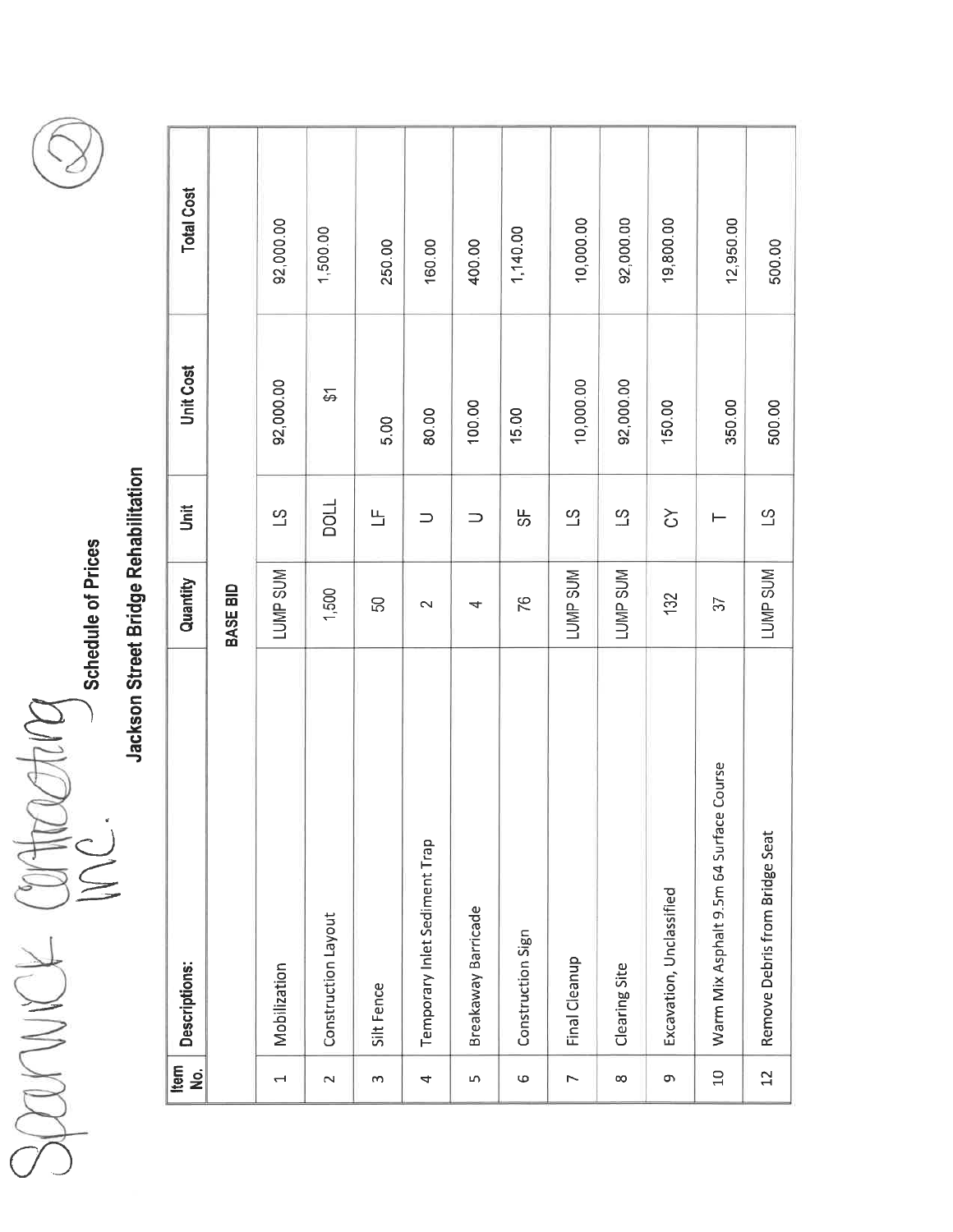Saarwer Compating

Schedule of Prices



| Item<br>No.              | Descriptions:                           | Quantity        | <b>Jnit</b>    | Unit Cost           | <b>Total Cost</b> |
|--------------------------|-----------------------------------------|-----------------|----------------|---------------------|-------------------|
|                          |                                         | <b>BASE BID</b> |                |                     |                   |
| $\overline{\phantom{0}}$ | Mobilization                            | LUMP SUM        | $\overline{c}$ | 92,000.00           | 92,000.00         |
| $\sim$                   | Construction Layout                     | 1,500           | TIOCI          | $\overleftarrow{ }$ | 1,500.00          |
| S                        | Silt Fence                              | 50              | 凸              | 5.00                | 250.00            |
| 4                        | Temporary Inlet Sediment Trap           | $\sim$          | ⊃              | 80.00               | 160.00            |
| LN.                      | Breakaway Barricade                     | 4               |                | 100.00              | 400.00            |
| Ф                        | Construction Sign                       | 76              | 贻              | 15.00               | 1,140.00          |
| $\overline{ }$           | Final Cleanup                           | LUMP SUM        | $\overline{5}$ | 10,000.00           | 10,000.00         |
| œ                        | Clearing Site                           | <b>LUMP SUM</b> | $\Omega$       | 92,000.00           | 92,000.00         |
| თ                        | Excavation, Unclassified                | 132             | $\Im$          | 150.00              | 19,800.00         |
| $10$                     | Warm Mix Asphalt 9.5m 64 Surface Course | 57              | ⊢              | 350.00              | 12,950.00         |
| 22                       | Remove Debris from Bridge Seat          | LUMP SUM        | $\overline{c}$ | 500.00              | 500.00            |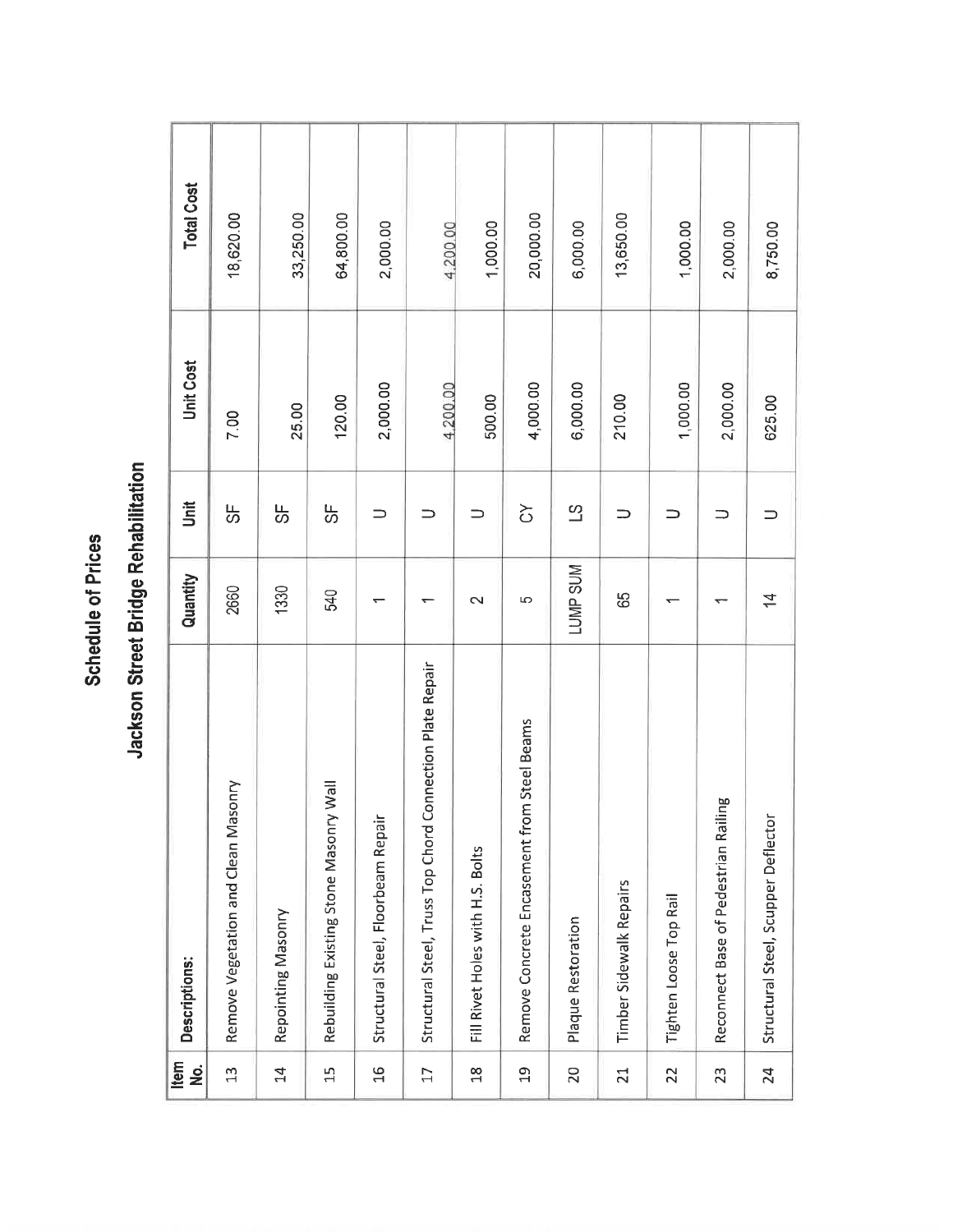| Item<br><u>ş</u> | Descriptions:                                                | Quantity       | jnit           | Unit Cost | <b>Total Cost</b> |
|------------------|--------------------------------------------------------------|----------------|----------------|-----------|-------------------|
| $\mathfrak{L}$   | Remove Vegetation and Clean Masonry                          | 2660           | ₩              | 7.00      | 18,620.00         |
| $\overline{4}$   | Repointing Masonry                                           | 1330           | 贻              | 25.00     | 33,250.00         |
| 15               | Rebuilding Existing Stone Masonry Wall                       | 540            | ပ္တ            | 120.00    | 64,800.00         |
| $\frac{9}{2}$    | Structural Steel, Floorbeam Repai                            |                | ⊃              | 2,000.00  | 2,000.00          |
| $\overline{17}$  | Connection Plate Repair<br>Structural Steel, Truss Top Chord |                | ⊃              | 4,200.00  | 4,200.00          |
| $\frac{8}{18}$   | Fill Rivet Holes with H.S. Bolts                             | $\sim$         | ⊃              | 500.00    | 1,000.00          |
| $\overline{a}$   | m Steel Beams<br>Remove Concrete Encasement fro              | 5              | る<br>ひ         | 4,000.00  | 20,000.00         |
| 20               | Plaque Restoration                                           | LUMP SUM       | $\overline{c}$ | 6,000.00  | 6,000.00          |
| $\overline{21}$  | Timber Sidewalk Repairs                                      | 89             | ⊃              | 210.00    | 13,650.00         |
| 22               | Tighten Loose Top Rail                                       |                | ⊃              | 1,000.00  | 1,000.00          |
| 23               | Reconnect Base of Pedestrian Railing                         |                | ⊃              | 2,000.00  | 2,000.00          |
| 24               | Structural Steel, Scupper Deflector                          | $\overline{4}$ |                | 625.00    | 8,750.00          |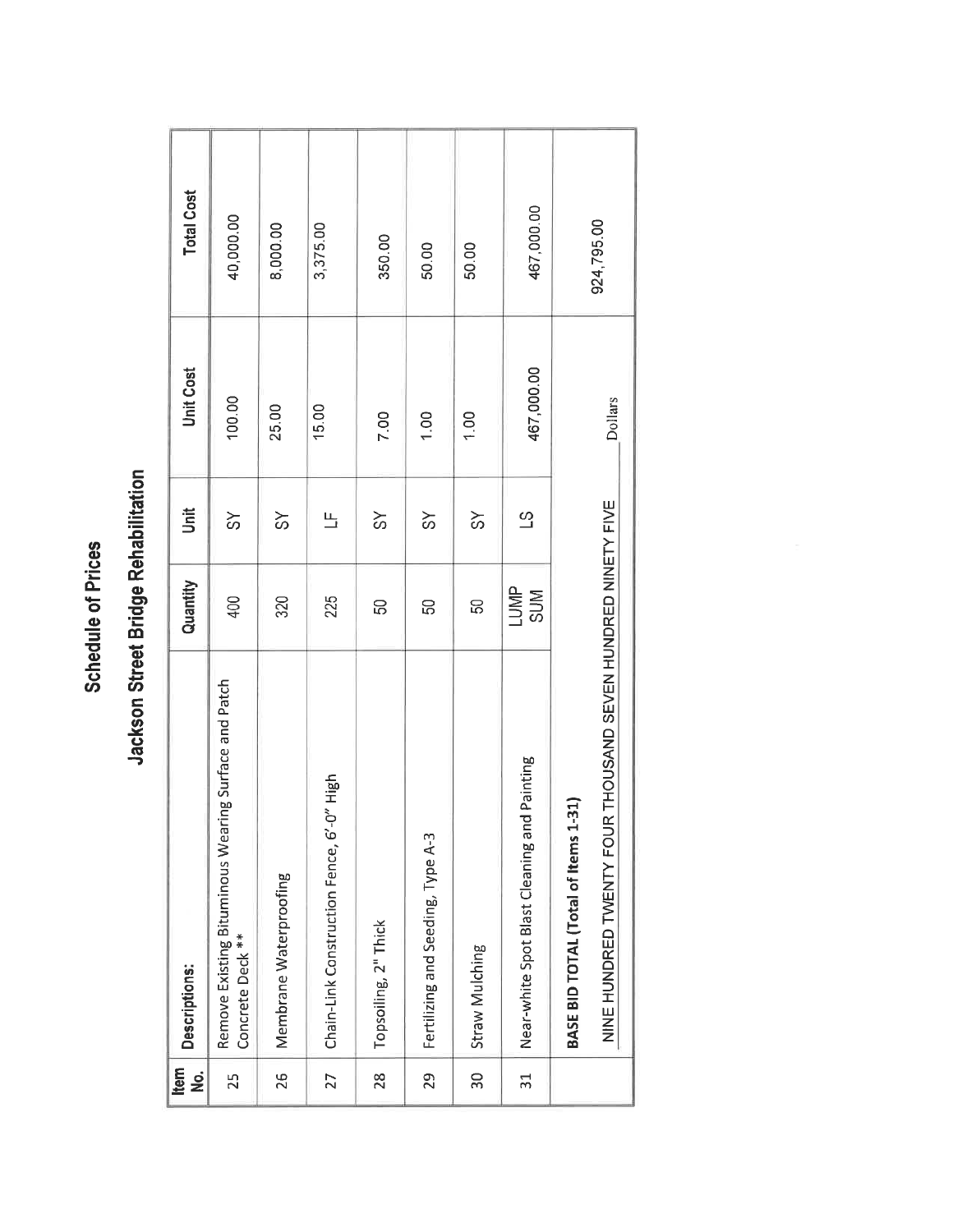| Item<br>ġ      | Descriptions:                                                                | Quantity        | ji             | <b>Unit Cost</b> | <b>Total Cost</b> |
|----------------|------------------------------------------------------------------------------|-----------------|----------------|------------------|-------------------|
| 25             | ring Surface and Patch<br>Remove Existing Bituminous Wea<br>Concrete Deck ** | 400             | $\frac{1}{5}$  | 100.00           | 40,000.00         |
| 26             | Membrane Waterproofing                                                       | 320             | న              | 25.00            | 8,000.00          |
| 27             | Chain-Link Construction Fence, 6'-0" High                                    | 225             | 凸              | 15.00            | 3,375.00          |
| 28             | Topsoiling, 2" Thick                                                         | 50              | ଚ              | 7.00             | 350.00            |
| 29             | Fertilizing and Seeding, Type A-3                                            | 50              | $\frac{8}{3}$  | 1.00             | 50.00             |
| 30             | Straw Mulching                                                               | 50              | $\approx$      | 1.00             | 50.00             |
| $\overline{5}$ | Near-white Spot Blast Cleaning and Painting                                  | MP <sub>S</sub> | $\overline{c}$ | 467,000.00       | 467,000.00        |
|                | BASE BID TOTAL (Total of Items 1-31)                                         |                 |                |                  | 924,795.00        |
|                | R THOUSAND SEVEN HUNDRED NINETY FIVE<br>NINE HUNDRED TWENTY FOU              |                 |                | Dollars          |                   |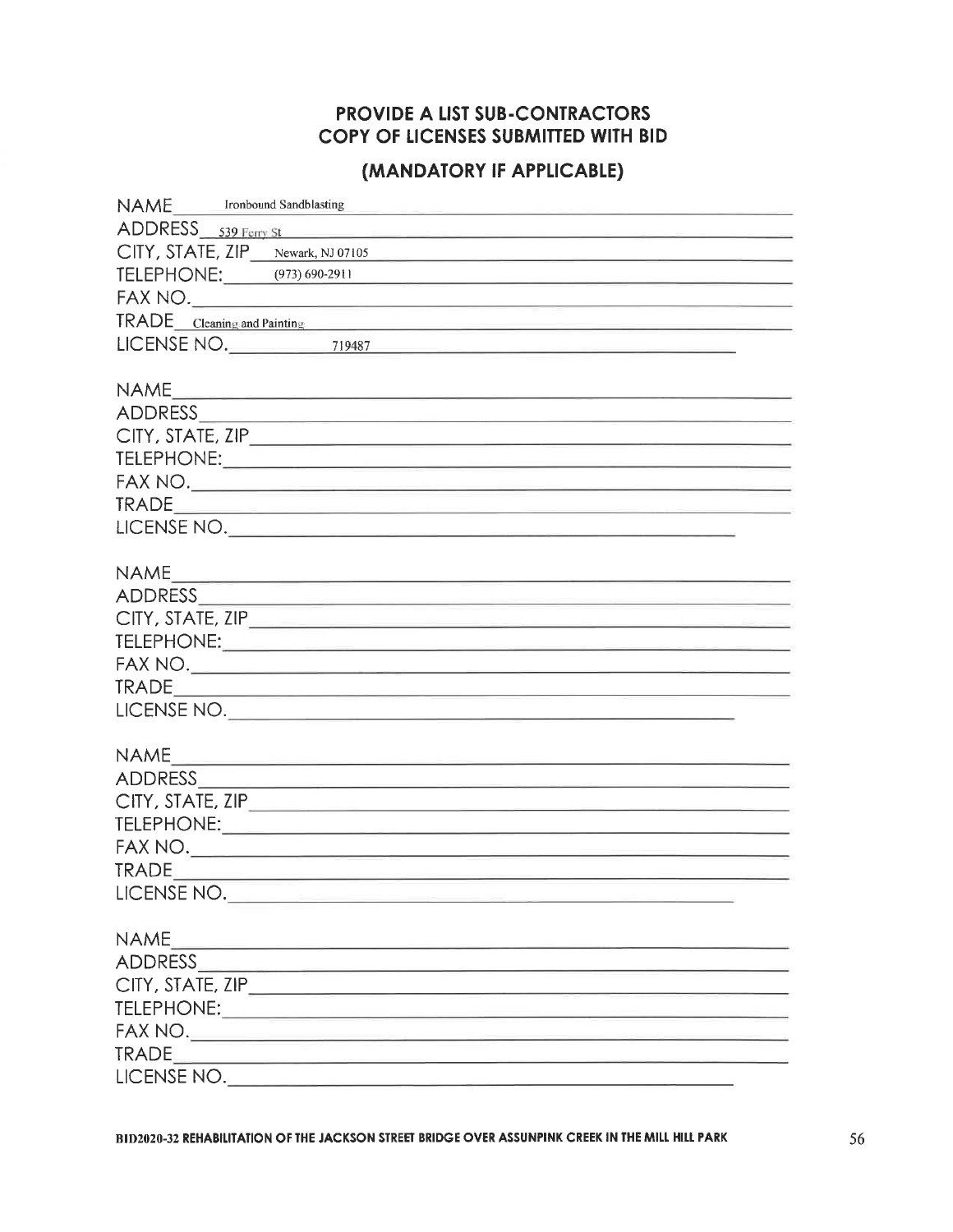## **PROVIDE A LIST SUB-CONTRACTORS** COPY OF LICENSES SUBMITTED WITH BID

## (MANDATORY IF APPLICABLE)

| NAME Ironbound Sandblasting                                                                                                                                                                                                    |
|--------------------------------------------------------------------------------------------------------------------------------------------------------------------------------------------------------------------------------|
| ADDRESS 539 Ferry St                                                                                                                                                                                                           |
| CITY, STATE, ZIP Newark, NJ 07105                                                                                                                                                                                              |
| TELEPHONE: (973) 690-2911<br><u> 1980 - Johann John Harrison, martin al-Amerikaansk politik (</u>                                                                                                                              |
|                                                                                                                                                                                                                                |
| TRADE Cleaning and Painting Committee Committee Committee Committee Committee Committee Committee Committee Committee Committee Committee Committee Committee Committee Committee Committee Committee Committee Committee Comm |
| LICENSE NO. 2008 219487                                                                                                                                                                                                        |
|                                                                                                                                                                                                                                |
| <b>NAME</b>                                                                                                                                                                                                                    |
|                                                                                                                                                                                                                                |
|                                                                                                                                                                                                                                |
|                                                                                                                                                                                                                                |
| FAX NO.                                                                                                                                                                                                                        |
|                                                                                                                                                                                                                                |
| LICENSE NO.                                                                                                                                                                                                                    |
|                                                                                                                                                                                                                                |
| <b>NAME</b>                                                                                                                                                                                                                    |
|                                                                                                                                                                                                                                |
| CITY, STATE, ZIP                                                                                                                                                                                                               |
|                                                                                                                                                                                                                                |
|                                                                                                                                                                                                                                |
|                                                                                                                                                                                                                                |
| LICENSE NO.                                                                                                                                                                                                                    |
|                                                                                                                                                                                                                                |
|                                                                                                                                                                                                                                |
|                                                                                                                                                                                                                                |
|                                                                                                                                                                                                                                |
|                                                                                                                                                                                                                                |
|                                                                                                                                                                                                                                |
|                                                                                                                                                                                                                                |
| LICENSE NO.                                                                                                                                                                                                                    |
|                                                                                                                                                                                                                                |
| <b>NAME</b><br><u> 1980 - An Dùbhlachd ann an Dùbhlachd ann an Dùbhlachd ann an Dùbhlachd ann an Dùbhlachd ann an Dùbhlachd ann an </u>                                                                                        |
|                                                                                                                                                                                                                                |
|                                                                                                                                                                                                                                |
|                                                                                                                                                                                                                                |
|                                                                                                                                                                                                                                |
|                                                                                                                                                                                                                                |
| LICENSE NO.                                                                                                                                                                                                                    |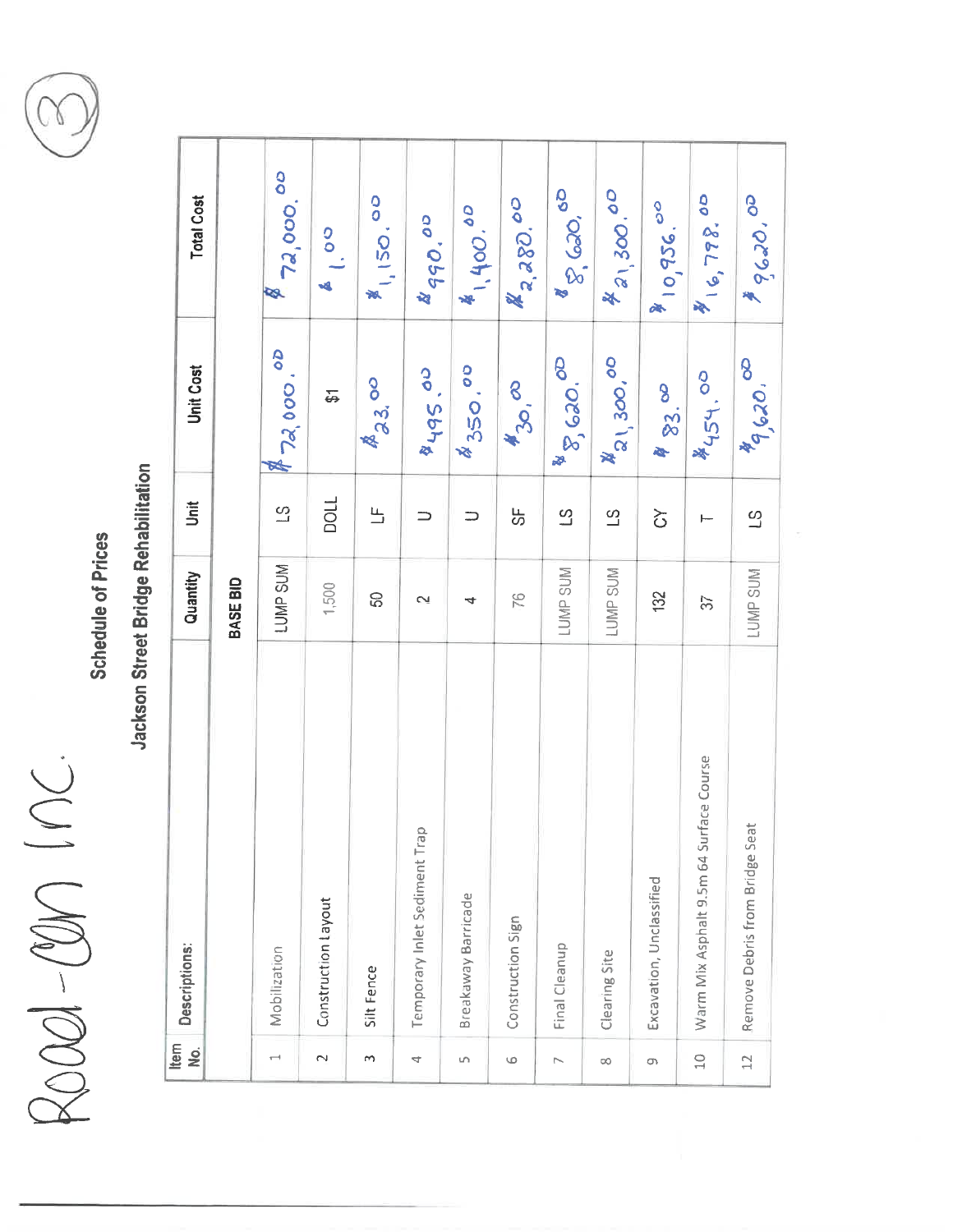ROOD-ODN INC.



|                | Item<br><u>o</u>         | Descriptions:                           | Quantity        | Jnit                    | <b>Unit Cost</b>              | <b>Total Cost</b>        |
|----------------|--------------------------|-----------------------------------------|-----------------|-------------------------|-------------------------------|--------------------------|
|                |                          |                                         | <b>BASE BID</b> |                         |                               |                          |
|                | $\overline{\phantom{a}}$ | Mobilization                            | LUMP SUM        | $\frac{3}{2}$           | 872,000.00                    | 72,000.00                |
|                | $\sim$                   | Construction Layout                     | 1,500           | DOLL                    | 5                             | 1.00<br>鸣                |
|                | m                        | Silt Fence                              | င္တ             | $\overline{\mathbf{L}}$ | $A_{3,3}$ oo                  | 81150.00                 |
|                | 4                        | Temporary Inlet Sediment Trap           | $\sim$          | $\Rightarrow$           | $60^{36}$                     | 490.00                   |
|                | S                        | Breakaway Barricade                     | 4               | ⋍                       | \$350.00                      | 41,400.00                |
|                | 6                        | Construction Sign                       | PG.             | ပ္ပ                     | <b>A</b> 30, 00               | 2,280.00                 |
|                | $\overline{ }$           | Final Cleanup                           | <b>LUMP SUM</b> | $\overline{c}$          | 8 8,620.00                    | 8 600,00                 |
|                | œ                        | Clearing Site                           | LUMP SUM        | $\overline{c}$          | <b>A</b> <sub>21,300,00</sub> | 4 21, 300.00             |
|                | G                        | Excavation, Unclassified                | 132             | と                       | 483.00                        | 810,956.00               |
|                | $\frac{0}{1}$            | Warm Mix Asphalt 9.5m 64 Surface Course | $\mathfrak{D}$  |                         | \$454.00                      | $\frac{1}{2}$ (c, 798.00 |
| $\mathfrak{a}$ |                          | Remove Debris from Bridge Seat          | LUMP SUM        | $\mathfrak{S}$          | 89,620.00                     | \$ 9620,00               |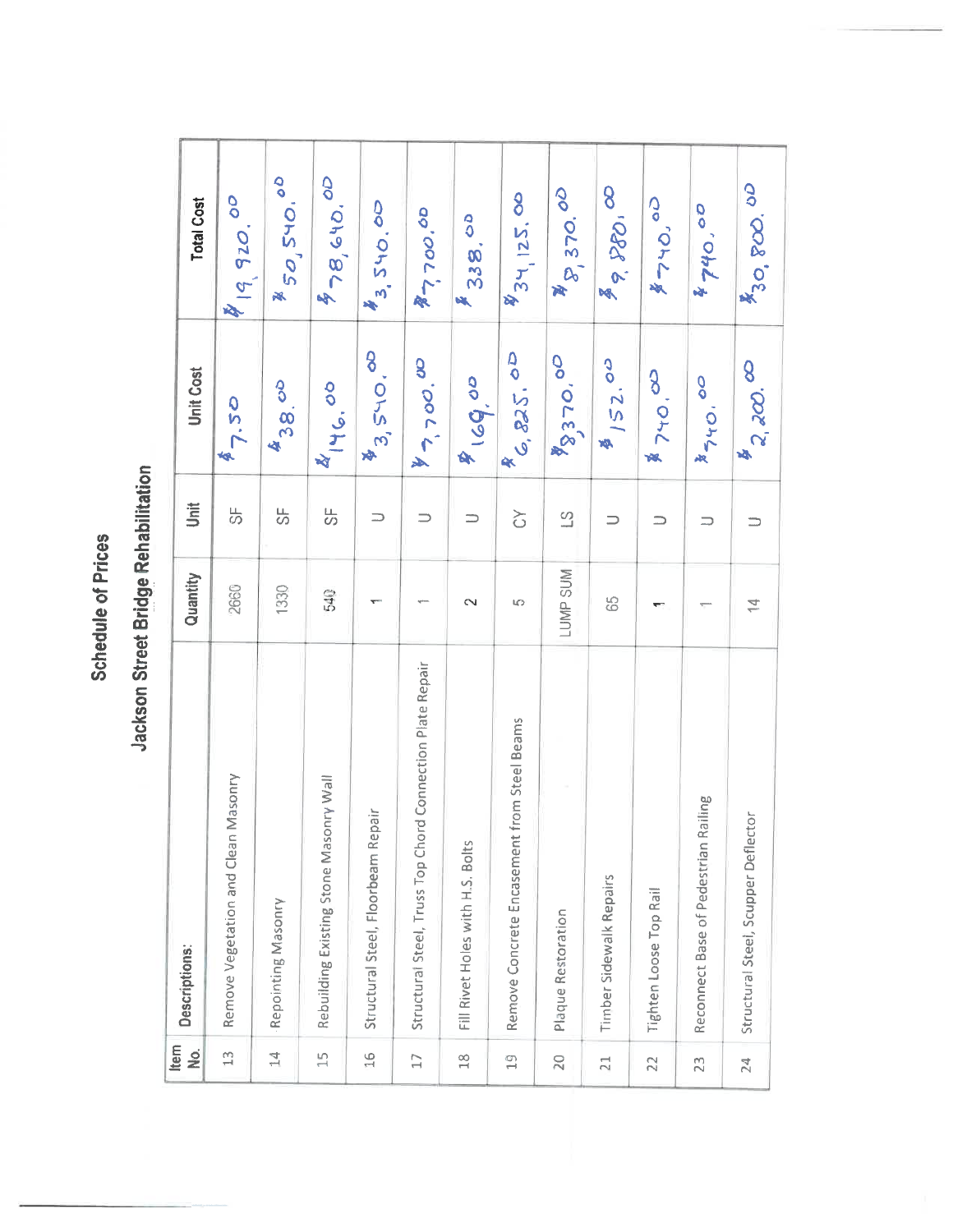| Item<br>, ok                | Descriptions:                                             | Quantity        | jint                     | Unit Cost             | <b>Total Cost</b>    |
|-----------------------------|-----------------------------------------------------------|-----------------|--------------------------|-----------------------|----------------------|
| $\mathbb{C}$                | Remove Vegetation and Clean Masonry                       | 2660            | 贵                        | 47.50                 | 819,920.00           |
| $\overline{4}$              | Repointing Masonry                                        | 1330            | 5                        | 438.00                | \$50,540.00          |
| $\overline{15}$             | Rebuilding Existing Stone Masonry Wall                    | 540             | しの                       | 446.00                | \$78,640.00          |
| 16                          | Structural Steel, Floorbeam Repair                        |                 | $\qquad \qquad \Box$     | \$3,540.00            | \$3,540.00           |
| $\Box$                      | Structural Steel, Truss Top Chord Connection Plate Repair |                 | $\Rightarrow$            | $4 - 500.00$          | $\frac{1}{2}$ 700.00 |
| $\frac{8}{10}$              | Fill Rivet Holes with H.S. Bolts                          | $\sim$          | $\Rightarrow$            | 90.68                 | <b>E</b> 338.00      |
| $\overset{\textcirc}{\Box}$ | Remove Concrete Encasement from Steel Beams               | LO.             | $\overleftrightarrow{C}$ | 6, 825.00             | 834, 125.00          |
| 20                          | Plaque Restoration                                        | <b>LUMP SUM</b> | $\mathbb{S}$             | $\frac{1}{2}370.00$   | \$\$, 370.00         |
| 21                          | Timber Sidewalk Repairs                                   | 65              | $\Rightarrow$            | $\frac{3}{2}$ / 52.00 | \$9,280,00           |
| 22                          | Tighten Loose Top Rail                                    |                 | ⊃                        | 8740.00               | \$740.00             |
| 23                          | Railing<br>Reconnect Base of Pedestrian                   |                 | $\supset$                | 8740.00               | 4740,00              |
| 24                          | Structural Steel, Scupper Deflector                       | $\overline{4}$  |                          | $\frac{1}{2}$ $200$ . | 830, 800.00          |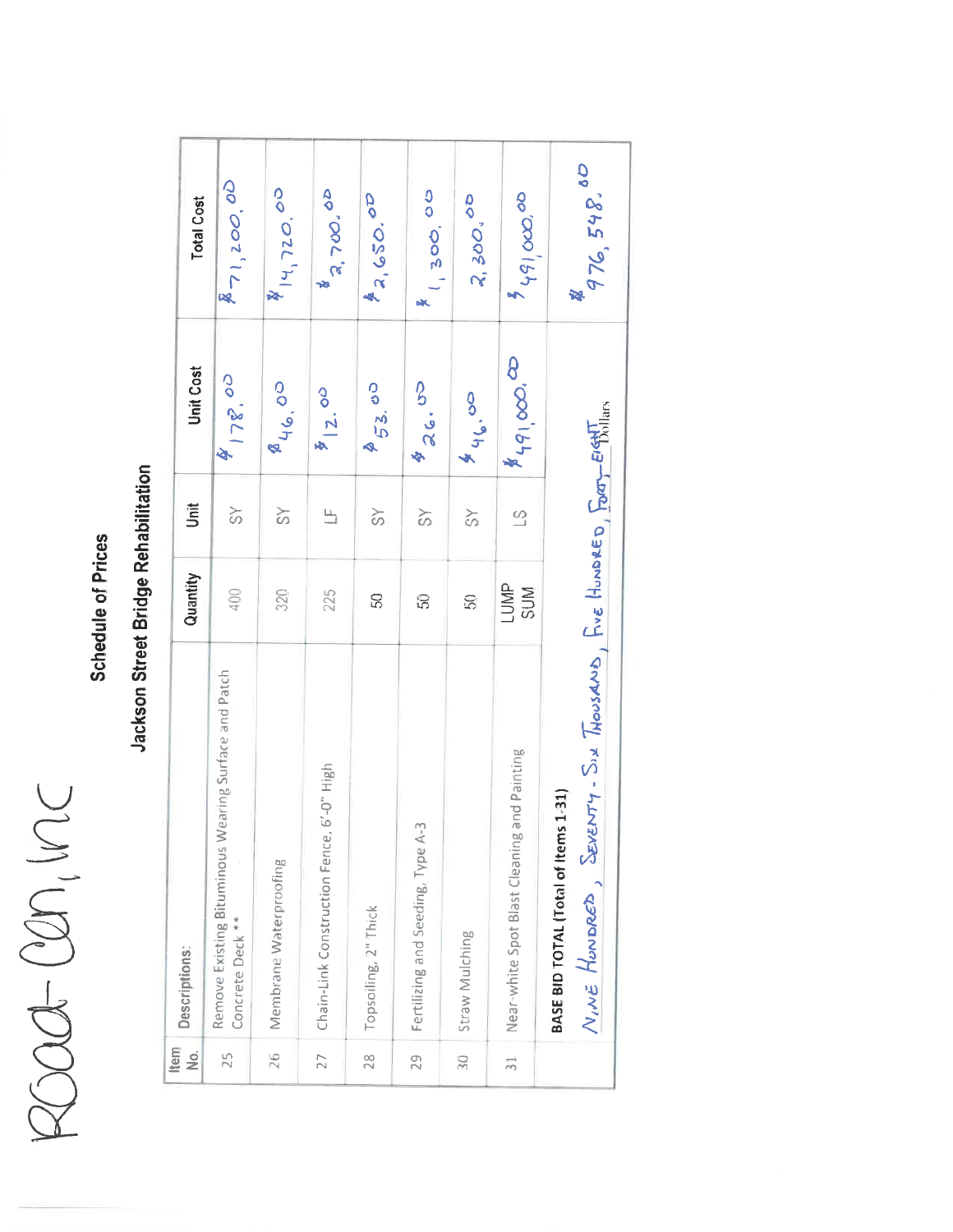# ROOC-CON, VIC

## **Schedule of Prices**

| Item<br>$\frac{1}{2}$ | Descriptions:                                                                                        | Quantity     | Š                        | <b>Unit Cost</b>          | <b>Total Cost</b>                   |
|-----------------------|------------------------------------------------------------------------------------------------------|--------------|--------------------------|---------------------------|-------------------------------------|
| 25                    | Remove Existing Bituminous Wearing Surface and Patch<br>Concrete Deck **                             | 400          | $\frac{8}{3}$            | \$178.00                  | 871,200.00                          |
| 26                    | Membrane Waterproofing                                                                               | 320          | $\approx$                | 846.00                    | $\frac{1}{2}$ 14, 720.00            |
| 27                    | $6' - 0''$ High<br>Chain-Link Construction Fence,                                                    | 225          | $\mathbf{u}$             | $\frac{1}{2}$ 00          | 2,700.00                            |
| $\frac{8}{28}$        | Topsoiling, 2" Thick                                                                                 | 50           | $\frac{8}{3}$            | 253.00                    | 42,650.00                           |
| 29                    | Fertilizing and Seeding, Type A-3                                                                    | 50           | $\frac{8}{5}$            | \$26.00                   | 1300,00                             |
| $\frac{1}{2}$         | Straw Mulching                                                                                       | 50           | $\frac{8}{3}$            | 846.00                    | 2, 300,00                           |
| $\frac{1}{2}$         | and Painting<br>Near-white Spot Blast Cleaning                                                       | LUMP.<br>SUM | $\overline{\mathcal{L}}$ | $*_{q_{1},\infty} \infty$ | $\sigma^{\prime}$ cno $^{1}b^{1}$ , |
|                       | NIVE HONDRED, SEVENTY-SIX THOUSAND, FIVE HUNDRED, FORT-EIGHT<br>BASE BID TOTAL (Total of Items 1-31) |              |                          |                           | 76, 548, 80                         |